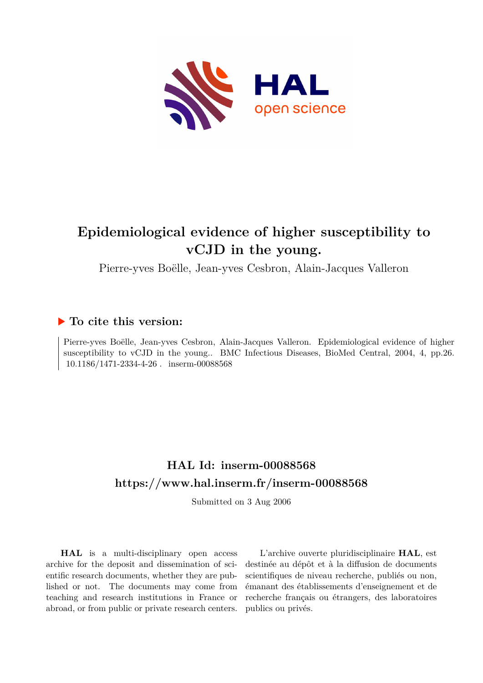

# **Epidemiological evidence of higher susceptibility to vCJD in the young.**

Pierre-yves Boëlle, Jean-yves Cesbron, Alain-Jacques Valleron

## **To cite this version:**

Pierre-yves Boëlle, Jean-yves Cesbron, Alain-Jacques Valleron. Epidemiological evidence of higher susceptibility to vCJD in the young.. BMC Infectious Diseases, BioMed Central, 2004, 4, pp.26.  $10.1186/1471\hbox{-} 2334\hbox{-} 4\hbox{-} 26$  .  $% 10.1186/1471\hbox{-} 2334\hbox{-} 4\hbox{-} 26$  .  $% 10.1186/1471\hbox{-} 2334\hbox{-} 4\hbox{-} 26$ 

## **HAL Id: inserm-00088568 <https://www.hal.inserm.fr/inserm-00088568>**

Submitted on 3 Aug 2006

**HAL** is a multi-disciplinary open access archive for the deposit and dissemination of scientific research documents, whether they are published or not. The documents may come from teaching and research institutions in France or abroad, or from public or private research centers.

L'archive ouverte pluridisciplinaire **HAL**, est destinée au dépôt et à la diffusion de documents scientifiques de niveau recherche, publiés ou non, émanant des établissements d'enseignement et de recherche français ou étrangers, des laboratoires publics ou privés.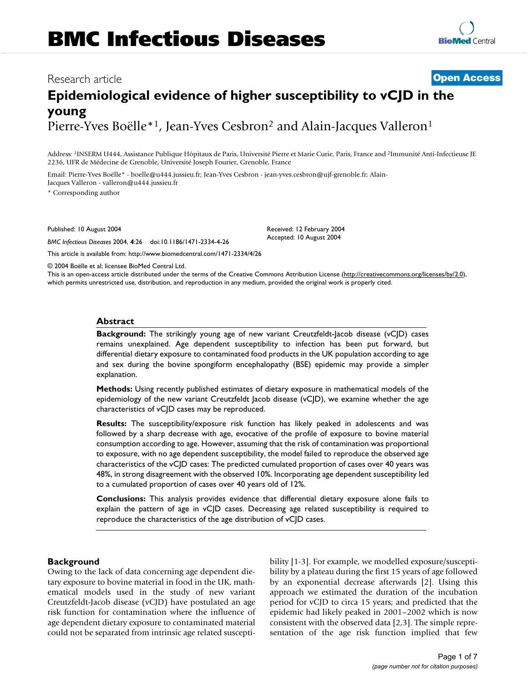## Research article **Contract Contract Contract Contract Contract Contract Contract Contract Contract Contract Contract Contract Contract Contract Contract Contract Contract Contract Contract Contract Contract Contract Contra**

## **Epidemiological evidence of higher susceptibility to vCJD in the young** Pierre-Yves Boëlle\*<sup>1</sup>, Jean-Yves Cesbron<sup>2</sup> and Alain-Jacques Valleron<sup>1</sup>

Address: <sup>1</sup>INSERM U444, Assistance Publique Hôpitaux de Paris, Université Pierre et Marie Curie, Paris, France and <sup>2</sup>Immunité Anti-Infectieuse JE 2236, UFR de Médecine de Grenoble, Université Joseph Fourier, Grenoble, France

> Received: 12 February 2004 Accepted: 10 August 2004

Email: Pierre-Yves Boëlle\* - boelle@u444.jussieu.fr; Jean-Yves Cesbron - jean-yves.cesbron@ujf-grenoble.fr; Alain-Jacques Valleron - valleron@u444.jussieu.fr

\* Corresponding author

Published: 10 August 2004

*BMC Infectious Diseases* 2004, **4**:26 doi:10.1186/1471-2334-4-26

[This article is available from: http://www.biomedcentral.com/1471-2334/4/26](http://www.biomedcentral.com/1471-2334/4/26)

© 2004 Boëlle et al; licensee BioMed Central Ltd.

This is an open-access article distributed under the terms of the Creative Commons Attribution License (<http://creativecommons.org/licenses/by/2.0>), which permits unrestricted use, distribution, and reproduction in any medium, provided the original work is properly cited.

#### **Abstract**

**Background:** The strikingly young age of new variant Creutzfeldt-Jacob disease (vCJD) cases remains unexplained. Age dependent susceptibility to infection has been put forward, but differential dietary exposure to contaminated food products in the UK population according to age and sex during the bovine spongiform encephalopathy (BSE) epidemic may provide a simpler explanation.

**Methods:** Using recently published estimates of dietary exposure in mathematical models of the epidemiology of the new variant Creutzfeldt Jacob disease (vCJD), we examine whether the age characteristics of vCJD cases may be reproduced.

**Results:** The susceptibility/exposure risk function has likely peaked in adolescents and was followed by a sharp decrease with age, evocative of the profile of exposure to bovine material consumption according to age. However, assuming that the risk of contamination was proportional to exposure, with no age dependent susceptibility, the model failed to reproduce the observed age characteristics of the vCJD cases: The predicted cumulated proportion of cases over 40 years was 48%, in strong disagreement with the observed 10%. Incorporating age dependent susceptibility led to a cumulated proportion of cases over 40 years old of 12%.

**Conclusions:** This analysis provides evidence that differential dietary exposure alone fails to explain the pattern of age in vCJD cases. Decreasing age related susceptibility is required to reproduce the characteristics of the age distribution of vCJD cases.

### **Background**

Owing to the lack of data concerning age dependent dietary exposure to bovine material in food in the UK, mathematical models used in the study of new variant Creutzfeldt-Jacob disease (vCJD) have postulated an age risk function for contamination where the influence of age dependent dietary exposure to contaminated material could not be separated from intrinsic age related susceptibility [1-3]. For example, we modelled exposure/susceptibility by a plateau during the first 15 years of age followed by an exponential decrease afterwards [2]. Using this approach we estimated the duration of the incubation period for vCJD to circa 15 years; and predicted that the epidemic had likely peaked in 2001–2002 which is now consistent with the observed data [2,3]. The simple representation of the age risk function implied that few

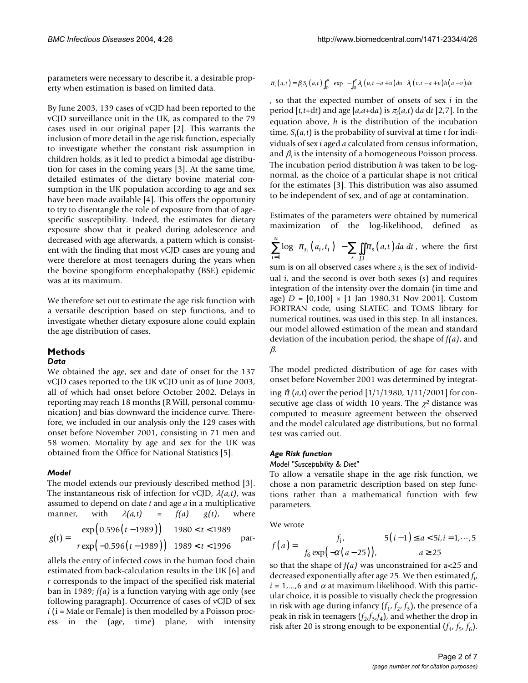parameters were necessary to describe it, a desirable property when estimation is based on limited data.

By June 2003, 139 cases of vCJD had been reported to the vCJD surveillance unit in the UK, as compared to the 79 cases used in our original paper [2]. This warrants the inclusion of more detail in the age risk function, especially to investigate whether the constant risk assumption in children holds, as it led to predict a bimodal age distribution for cases in the coming years [3]. At the same time, detailed estimates of the dietary bovine material consumption in the UK population according to age and sex have been made available [4]. This offers the opportunity to try to disentangle the role of exposure from that of agespecific susceptibility. Indeed, the estimates for dietary exposure show that it peaked during adolescence and decreased with age afterwards, a pattern which is consistent with the finding that most vCJD cases are young and were therefore at most teenagers during the years when the bovine spongiform encephalopathy (BSE) epidemic was at its maximum.

We therefore set out to estimate the age risk function with a versatile description based on step functions, and to investigate whether dietary exposure alone could explain the age distribution of cases.

## **Methods**

#### *Data*

We obtained the age, sex and date of onset for the 137 vCJD cases reported to the UK vCJD unit as of June 2003, all of which had onset before October 2002. Delays in reporting may reach 18 months (R Will, personal communication) and bias downward the incidence curve. Therefore, we included in our analysis only the 129 cases with onset before November 2001, consisting in 71 men and 58 women. Mortality by age and sex for the UK was obtained from the Office for National Statistics [5].

#### *Model*

The model extends our previously described method [3]. The instantaneous risk of infection for vCJD, λ*(a,t)*, was assumed to depend on date *t* and age *a* in a multiplicative manner, with  $\lambda(a,t)$  =  $f(a)$   $g(t)$ , where

$$
g(t) = \begin{cases} \exp\left(0.596(t - 1989)\right) & 1980 < t < 1989\\ r \exp\left(-0.596(t - 1989)\right) & 1989 < t < 1996 \end{cases}
$$
par-

allels the entry of infected cows in the human food chain estimated from back-calculation results in the UK [6] and *r* corresponds to the impact of the specified risk material ban in 1989; *f(a)* is a function varying with age only (see following paragraph). Occurrence of cases of vCJD of sex *i* (i = Male or Female) is then modelled by a Poisson process in the (age, time) plane, with intensity

$$
\pi_i(a,t) = \beta_i S_i(a,t) \int_0^a \left\{ \exp \left[ -\int_0^v \lambda_i(u,t-a+u) \, du \right] \lambda_i(v,t-a+v) \, h(a-v) \, dv \right\}
$$

, so that the expected number of onsets of sex *i* in the period [*t,t*+d*t*) and age [*a*,*a*+d*a*) is <sup>π</sup>*<sup>i</sup>* (*a*,*t*) d*a* d*t* [2,7]. In the equation above, *h* is the distribution of the incubation time, *S<sup>i</sup>* (*a,t*) is the probability of survival at time *t* for individuals of sex *i* aged *a* calculated from census information, and  $\beta_{\rm t}$  is the intensity of a homogeneous Poisson process. The incubation period distribution *h* was taken to be lognormal, as the choice of a particular shape is not critical for the estimates [3]. This distribution was also assumed to be independent of sex, and of age at contamination.

Estimates of the parameters were obtained by numerical maximization of the log-likelihood, defined as

$$
\sum_{i=1}^{n} \log \left[ \pi_{s_i} \left( a_i, t_i \right) \right] - \sum_{s} \iint_{D} \pi_s \left( a, t \right) da \ dt \ , \text{ where the first}
$$

sum is on all observed cases where  $s_i$  is the sex of individual *i*, and the second is over both sexes (*s*) and requires integration of the intensity over the domain (in time and age) *D* = [0,100] × [1 Jan 1980,31 Nov 2001]. Custom FORTRAN code, using SLATEC and TOMS library for numerical routines, was used in this step. In all instances, our model allowed estimation of the mean and standard deviation of the incubation period, the shape of *f(a)*, and β.

The model predicted distribution of age for cases with onset before November 2001 was determined by integrat-

ing  $\hat{\pi}(a,t)$  over the period  $[1/1/1980, 1/11/2001]$  for consecutive age class of width 10 years. The  $\chi^2$  distance was computed to measure agreement between the observed and the model calculated age distributions, but no formal test was carried out.

#### *Age Risk function*

#### *Model "Susceptibility & Diet"*

To allow a versatile shape in the age risk function, we chose a non parametric description based on step functions rather than a mathematical function with few parameters.

We wrote

$$
f(a) = \begin{cases} f_i, & 5(i-1) \le a < 5i, i = 1, \dots, 5 \\ f_6 \exp(-\alpha(a-25)), & a \ge 25 \end{cases}
$$

so that the shape of *f(a)* was unconstrained for a<25 and decreased exponentially after age 25. We then estimated *f i* ,  $i = 1, \ldots, 6$  and  $\alpha$  at maximum likelihood. With this particular choice, it is possible to visually check the progression in risk with age during infancy  $(f_1, f_2, f_3)$ , the presence of a peak in risk in teenagers  $(f_2, f_3, f_4)$ , and whether the drop in risk after 20 is strong enough to be exponential  $(f_4, f_5, f_6)$ .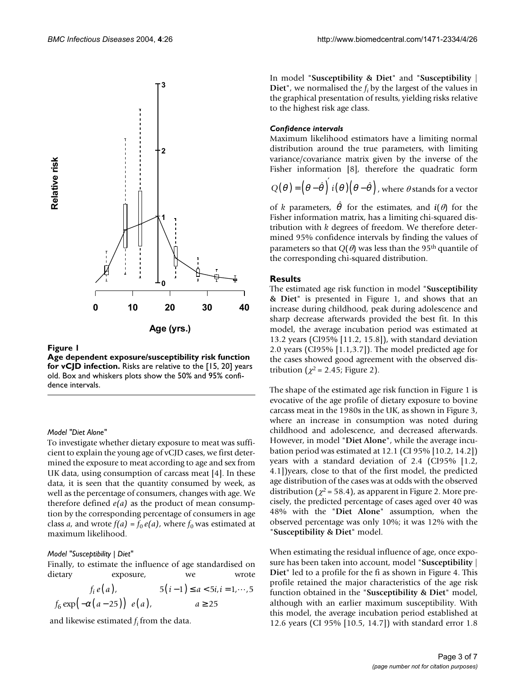

#### Figure 1

**Age dependent exposure/susceptibility risk function for vCJD infection.** Risks are relative to the [15, 20] years old. Box and whiskers plots show the 50% and 95% confidence intervals.

#### *Model "Diet Alone"*

To investigate whether dietary exposure to meat was sufficient to explain the young age of vCJD cases, we first determined the exposure to meat according to age and sex from UK data, using consumption of carcass meat [4]. In these data, it is seen that the quantity consumed by week, as well as the percentage of consumers, changes with age. We therefore defined *e(a)* as the product of mean consumption by the corresponding percentage of consumers in age class *a*, and wrote  $f(a) = f_0 e(a)$ , where  $f_0$  was estimated at maximum likelihood.

#### *Model "Susceptibility | Diet"*

Finally, to estimate the influence of age standardised on dietary exposure, we wrote

 $f_i e(a)$ ,  $5(i-1) \le a < 5i, i$  $f_6 \exp(-\alpha (a - 25)) e(a)$ , a  $\bar{i} e(a),$   $5(i-1) \le a < 5i, i =$  $(-\alpha(a-25)) e(a),$   $a \ge$  $\mathbf{I}$  $\left\{ \right.$ l ,  $5(i-1) \le a < 5i, i = 1, \cdots$ ,  $\exp(-\alpha(a-25)) e(a),$  $5(i-1) \leq a < 5i, i = 1, \cdots, 5$  $\int_6^c \exp(-\alpha (a - 25)) e(a),$   $a \ge 25$  $\ldots$ α

and likewise estimated  $f_i$  from the data.

In model "**Susceptibility & Diet**" and "**Susceptibility | Diet**", we normalised the *f <sup>i</sup>*by the largest of the values in the graphical presentation of results, yielding risks relative to the highest risk age class.

#### *Confidence intervals*

Maximum likelihood estimators have a limiting normal distribution around the true parameters, with limiting variance/covariance matrix given by the inverse of the Fisher information [8], therefore the quadratic form

$$
Q(\theta) = (\theta - \hat{\theta})' \, i(\theta) (\theta - \hat{\theta}), \text{ where } \theta \text{ stands for a vector}
$$

of *k* parameters,  $\hat{\theta}$  for the estimates, and  $\hat{\imath}(\theta)$  for the Fisher information matrix, has a limiting chi-squared distribution with *k* degrees of freedom. We therefore determined 95% confidence intervals by finding the values of parameters so that  $Q(\theta)$  was less than the 95<sup>th</sup> quantile of the corresponding chi-squared distribution.

#### **Results**

The estimated age risk function in model "**Susceptibility & Diet**" is presented in Figure 1, and shows that an increase during childhood, peak during adolescence and sharp decrease afterwards provided the best fit. In this model, the average incubation period was estimated at 13.2 years (CI95% [11.2, 15.8]), with standard deviation 2.0 years (CI95% [1.1,3.7]). The model predicted age for the cases showed good agreement with the observed distribution ( $\chi^2$  = 2.45; Figure [2\)](#page-4-0).

The shape of the estimated age risk function in Figure 1 is evocative of the age profile of dietary exposure to bovine carcass meat in the 1980s in the UK, as shown in Figure [3,](#page-5-0) where an increase in consumption was noted during childhood and adolescence, and decreased afterwards. However, in model "**Diet Alone**", while the average incubation period was estimated at 12.1 (CI 95% [10.2, 14.2]) years with a standard deviation of 2.4 (CI95% [1.2, 4.1])years, close to that of the first model, the predicted age distribution of the cases was at odds with the observed distribution ( $\chi^2$  = 58.4), as apparent in Figure [2.](#page-4-0) More precisely, the predicted percentage of cases aged over 40 was 48% with the "**Diet Alone**" assumption, when the observed percentage was only 10%; it was 12% with the "**Susceptibility & Diet**" model.

When estimating the residual influence of age, once exposure has been taken into account, model "**Susceptibility | Diet**" led to a profile for the fi as shown in Figure [4](#page-6-0). This profile retained the major characteristics of the age risk function obtained in the "**Susceptibility & Diet**" model, although with an earlier maximum susceptibility. With this model, the average incubation period established at 12.6 years (CI 95% [10.5, 14.7]) with standard error 1.8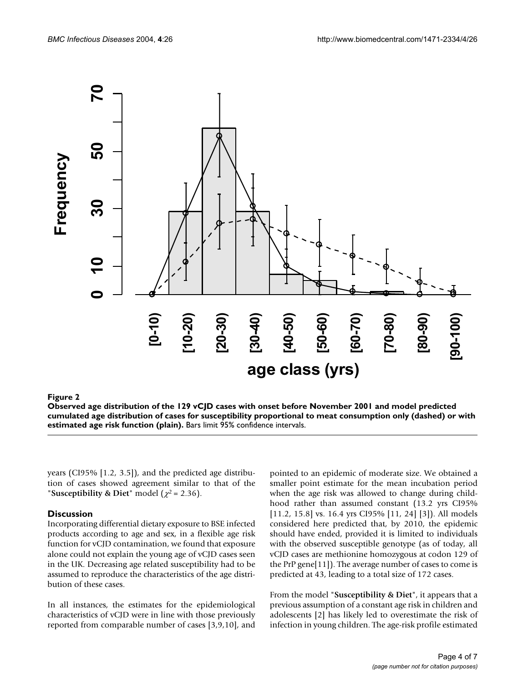<span id="page-4-0"></span>

### Figure 2 and 2008 and 2008 and 2008 and 2008 and 2008 and 2008 and 2008 and 2008 and 2008 and 2008 and 2008 an

**Observed age distribution of the 129 vCJD cases with onset before November 2001 and model predicted cumulated age distribution of cases for susceptibility proportional to meat consumption only (dashed) or with estimated age risk function (plain).** Bars limit 95% confidence intervals.

years (CI95% [1.2, 3.5]), and the predicted age distribution of cases showed agreement similar to that of the "**Susceptibility & Diet**" model  $(\chi^2 = 2.36)$ .

#### **Discussion**

Incorporating differential dietary exposure to BSE infected products according to age and sex, in a flexible age risk function for vCJD contamination, we found that exposure alone could not explain the young age of vCJD cases seen in the UK. Decreasing age related susceptibility had to be assumed to reproduce the characteristics of the age distribution of these cases.

In all instances, the estimates for the epidemiological characteristics of vCJD were in line with those previously reported from comparable number of cases [3,9,10], and pointed to an epidemic of moderate size. We obtained a smaller point estimate for the mean incubation period when the age risk was allowed to change during childhood rather than assumed constant (13.2 yrs CI95% [11.2, 15.8] vs. 16.4 yrs CI95% [11, 24] [3]). All models considered here predicted that, by 2010, the epidemic should have ended, provided it is limited to individuals with the observed susceptible genotype (as of today, all vCJD cases are methionine homozygous at codon 129 of the PrP gene[11]). The average number of cases to come is predicted at 43, leading to a total size of 172 cases.

From the model "**Susceptibility & Diet**", it appears that a previous assumption of a constant age risk in children and adolescents [2] has likely led to overestimate the risk of infection in young children. The age-risk profile estimated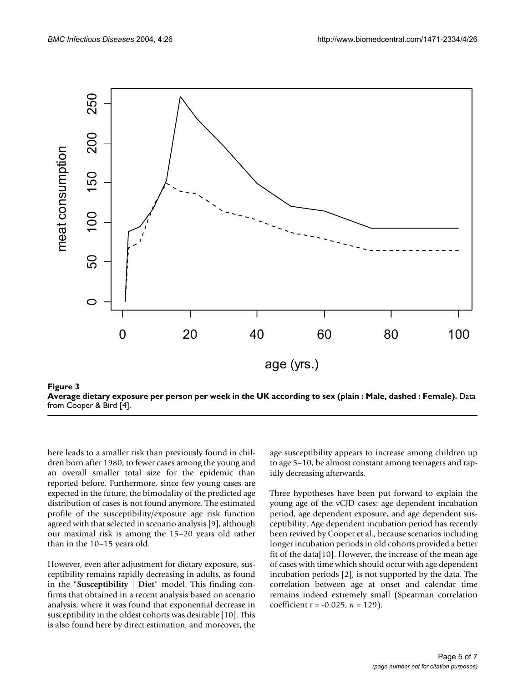<span id="page-5-0"></span>



here leads to a smaller risk than previously found in children born after 1980, to fewer cases among the young and an overall smaller total size for the epidemic than reported before. Furthermore, since few young cases are expected in the future, the bimodality of the predicted age distribution of cases is not found anymore. The estimated profile of the susceptibility/exposure age risk function agreed with that selected in scenario analysis [9], although our maximal risk is among the 15–20 years old rather than in the 10–15 years old.

However, even after adjustment for dietary exposure, susceptibility remains rapidly decreasing in adults, as found in the "**Susceptibility | Diet**" model. This finding confirms that obtained in a recent analysis based on scenario analysis, where it was found that exponential decrease in susceptibility in the oldest cohorts was desirable [10]. This is also found here by direct estimation, and moreover, the age susceptibility appears to increase among children up to age 5–10, be almost constant among teenagers and rapidly decreasing afterwards.

Three hypotheses have been put forward to explain the young age of the vCJD cases: age dependent incubation period, age dependent exposure, and age dependent susceptibility. Age dependent incubation period has recently been revived by Cooper et al., because scenarios including longer incubation periods in old cohorts provided a better fit of the data[10]. However, the increase of the mean age of cases with time which should occur with age dependent incubation periods [2], is not supported by the data. The correlation between age at onset and calendar time remains indeed extremely small (Spearman correlation coefficient r = -0.025, *n* = 129).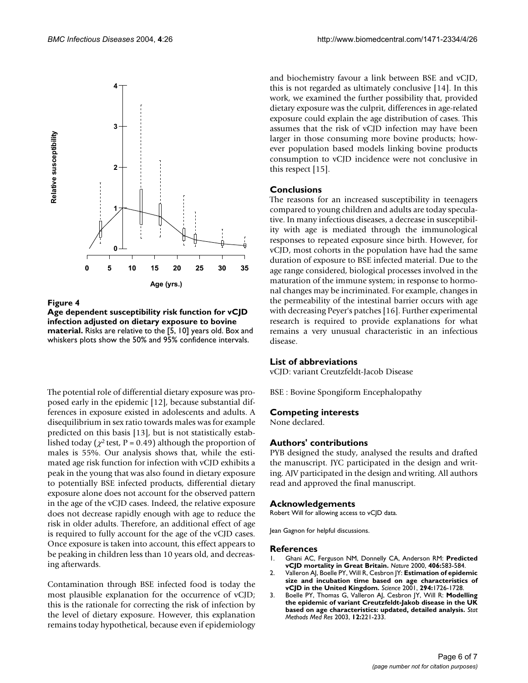<span id="page-6-0"></span>

Figure 4 **Age dependent susceptibility risk function for vCJD infection adjusted on dietary exposure to bovine material.** Risks are relative to the [5, 10] years old. Box and whiskers plots show the 50% and 95% confidence intervals.

The potential role of differential dietary exposure was proposed early in the epidemic [12], because substantial differences in exposure existed in adolescents and adults. A disequilibrium in sex ratio towards males was for example predicted on this basis [13], but is not statistically established today ( $\chi^2$  test, P = 0.49) although the proportion of males is 55%. Our analysis shows that, while the estimated age risk function for infection with vCJD exhibits a peak in the young that was also found in dietary exposure to potentially BSE infected products, differential dietary exposure alone does not account for the observed pattern in the age of the vCJD cases. Indeed, the relative exposure does not decrease rapidly enough with age to reduce the risk in older adults. Therefore, an additional effect of age is required to fully account for the age of the vCJD cases. Once exposure is taken into account, this effect appears to be peaking in children less than 10 years old, and decreasing afterwards.

Contamination through BSE infected food is today the most plausible explanation for the occurrence of vCJD; this is the rationale for correcting the risk of infection by the level of dietary exposure. However, this explanation remains today hypothetical, because even if epidemiology and biochemistry favour a link between BSE and vCJD, this is not regarded as ultimately conclusive [14]. In this work, we examined the further possibility that, provided dietary exposure was the culprit, differences in age-related exposure could explain the age distribution of cases. This assumes that the risk of vCJD infection may have been larger in those consuming more bovine products; however population based models linking bovine products consumption to vCJD incidence were not conclusive in this respect [15].

### **Conclusions**

The reasons for an increased susceptibility in teenagers compared to young children and adults are today speculative. In many infectious diseases, a decrease in susceptibility with age is mediated through the immunological responses to repeated exposure since birth. However, for vCJD, most cohorts in the population have had the same duration of exposure to BSE infected material. Due to the age range considered, biological processes involved in the maturation of the immune system; in response to hormonal changes may be incriminated. For example, changes in the permeability of the intestinal barrier occurs with age with decreasing Peyer's patches [16]. Further experimental research is required to provide explanations for what remains a very unusual characteristic in an infectious disease.

#### **List of abbreviations**

vCJD: variant Creutzfeldt-Jacob Disease

BSE : Bovine Spongiform Encephalopathy

#### **Competing interests**

None declared.

#### **Authors' contributions**

PYB designed the study, analysed the results and drafted the manuscript. JYC participated in the design and writing. AJV participated in the design and writing. All authors read and approved the final manuscript.

#### **Acknowledgements**

Robert Will for allowing access to vCJD data.

Jean Gagnon for helpful discussions.

#### **References**

- 1. Ghani AC, Ferguson NM, Donnelly CA, Anderson RM: **[Predicted](http://www.ncbi.nlm.nih.gov/entrez/query.fcgi?cmd=Retrieve&db=PubMed&dopt=Abstract&list_uids=10.1038/35020688) [vCJD mortality in Great Britain](http://www.ncbi.nlm.nih.gov/entrez/query.fcgi?cmd=Retrieve&db=PubMed&dopt=Abstract&list_uids=10.1038/35020688)[.](http://www.ncbi.nlm.nih.gov/entrez/query.fcgi?cmd=Retrieve&db=PubMed&dopt=Abstract&list_uids=10949288)** *Nature* 2000, **406:**583-584.
- 2. Valleron AJ, Boelle PY, Will R, Cesbron JY: **[Estimation of epidemic](http://www.ncbi.nlm.nih.gov/entrez/query.fcgi?cmd=Retrieve&db=PubMed&dopt=Abstract&list_uids=10.1126/science.1066838) [size and incubation time based on age characteristics of](http://www.ncbi.nlm.nih.gov/entrez/query.fcgi?cmd=Retrieve&db=PubMed&dopt=Abstract&list_uids=10.1126/science.1066838) [vCJD in the United Kingdom](http://www.ncbi.nlm.nih.gov/entrez/query.fcgi?cmd=Retrieve&db=PubMed&dopt=Abstract&list_uids=10.1126/science.1066838)[.](http://www.ncbi.nlm.nih.gov/entrez/query.fcgi?cmd=Retrieve&db=PubMed&dopt=Abstract&list_uids=11721058)** *Science* 2001, **294:**1726-1728.
- 3. Boelle PY, Thomas G, Valleron AJ, Cesbron JY, Will R: **[Modelling](http://www.ncbi.nlm.nih.gov/entrez/query.fcgi?cmd=Retrieve&db=PubMed&dopt=Abstract&list_uids=10.1191/0962280203sm329ra) [the epidemic of variant Creutzfeldt-Jakob disease in the UK](http://www.ncbi.nlm.nih.gov/entrez/query.fcgi?cmd=Retrieve&db=PubMed&dopt=Abstract&list_uids=10.1191/0962280203sm329ra) [based on age characteristics: updated, detailed analysis](http://www.ncbi.nlm.nih.gov/entrez/query.fcgi?cmd=Retrieve&db=PubMed&dopt=Abstract&list_uids=10.1191/0962280203sm329ra)[.](http://www.ncbi.nlm.nih.gov/entrez/query.fcgi?cmd=Retrieve&db=PubMed&dopt=Abstract&list_uids=12828243)** *Stat Methods Med Res* 2003, **12:**221-233.